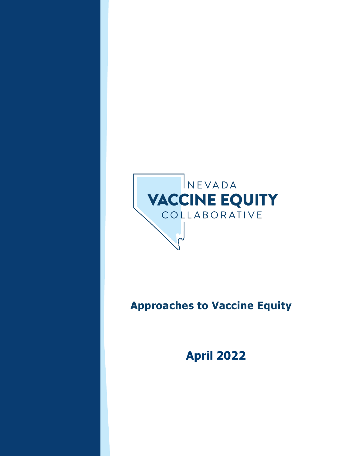

## **Approaches to Vaccine Equity**

**April 2022**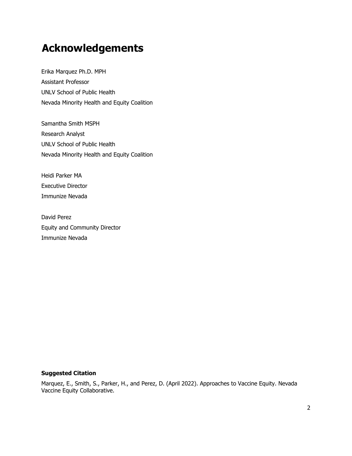## <span id="page-1-0"></span>**Acknowledgements**

Erika Marquez Ph.D. MPH Assistant Professor UNLV School of Public Health Nevada Minority Health and Equity Coalition

Samantha Smith MSPH Research Analyst UNLV School of Public Health Nevada Minority Health and Equity Coalition

Heidi Parker MA Executive Director Immunize Nevada

David Perez Equity and Community Director Immunize Nevada

#### **Suggested Citation**

Marquez, E., Smith, S., Parker, H., and Perez, D. (April 2022). Approaches to Vaccine Equity. Nevada Vaccine Equity Collaborative.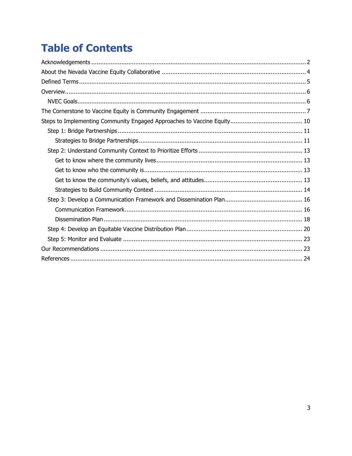## **Table of Contents**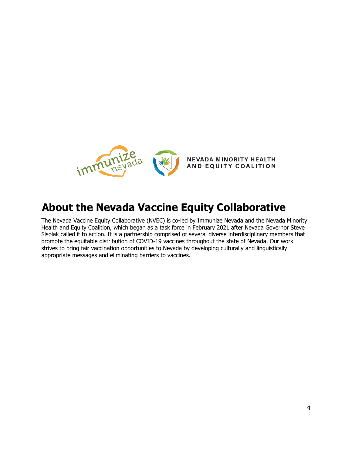

## <span id="page-3-0"></span>**About the Nevada Vaccine Equity Collaborative**

The Nevada Vaccine Equity Collaborative (NVEC) is co-led by Immunize Nevada and the Nevada Minority Health and Equity Coalition, which began as a task force in February 2021 after Nevada Governor Steve Sisolak called it to action. It is a partnership comprised of several diverse interdisciplinary members that promote the equitable distribution of COVID-19 vaccines throughout the state of Nevada. Our work strives to bring fair vaccination opportunities to Nevada by developing culturally and linguistically appropriate messages and eliminating barriers to vaccines.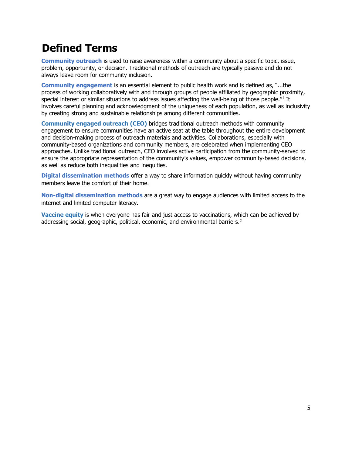## <span id="page-4-0"></span>**Defined Terms**

**Community outreach** is used to raise awareness within a community about a specific topic, issue, problem, opportunity, or decision. Traditional methods of outreach are typically passive and do not always leave room for community inclusion.

**Community engagement** is an essential element to public health work and is defined as, "...the process of working collaboratively with and through groups of people affiliated by geographic proximity, special interest or similar situations to address issues affecting the well-being of those people."<sup>1</sup> It involves careful planning and acknowledgment of the uniqueness of each population, as well as inclusivity by creating strong and sustainable relationships among different communities.

**Community engaged outreach (CEO)** bridges traditional outreach methods with community engagement to ensure communities have an active seat at the table throughout the entire development and decision-making process of outreach materials and activities. Collaborations, especially with community-based organizations and community members, are celebrated when implementing CEO approaches. Unlike traditional outreach, CEO involves active participation from the community-served to ensure the appropriate representation of the community's values, empower community-based decisions, as well as reduce both inequalities and inequities.

**Digital dissemination methods** offer a way to share information quickly without having community members leave the comfort of their home.

**Non-digital dissemination methods** are a great way to engage audiences with limited access to the internet and limited computer literacy.

**Vaccine equity** is when everyone has fair and just access to vaccinations, which can be achieved by addressing social, geographic, political, economic, and environmental barriers.<sup>2</sup>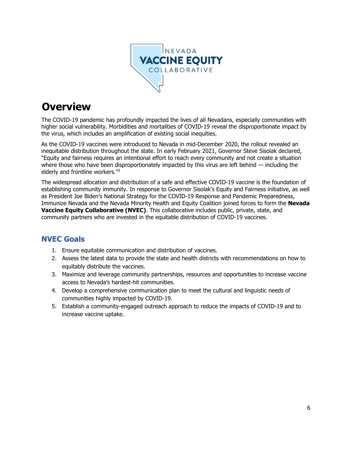

## <span id="page-5-0"></span>**Overview**

The COVID-19 pandemic has profoundly impacted the lives of all Nevadans, especially communities with higher social vulnerability. Morbidities and mortalities of COVID-19 reveal the disproportionate impact by the virus, which includes an amplification of existing social inequities.

As the COVID-19 vaccines were introduced to Nevada in mid-December 2020, the rollout revealed an inequitable distribution throughout the state. In early February 2021, Governor Steve Sisolak declared, "Equity and fairness requires an intentional effort to reach every community and not create a situation where those who have been disproportionately impacted by this virus are left behind — including the elderly and frontline workers."3

The widespread allocation and distribution of a safe and effective COVID-19 vaccine is the foundation of establishing community immunity. In response to Governor Sisolak's Equity and Fairness initiative, as well as President Joe Biden's National Strategy for the COVID-19 Response and Pandemic Preparedness, Immunize Nevada and the Nevada Minority Health and Equity Coalition joined forces to form the **Nevada Vaccine Equity Collaborative (NVEC)**. This collaborative includes public, private, state, and community partners who are invested in the equitable distribution of COVID-19 vaccines.

### <span id="page-5-1"></span>**NVEC Goals**

- 1. Ensure equitable communication and distribution of vaccines.
- 2. Assess the latest data to provide the state and health districts with recommendations on how to equitably distribute the vaccines.
- 3. Maximize and leverage community partnerships, resources and opportunities to increase vaccine access to Nevada's hardest-hit communities.
- 4. Develop a comprehensive communication plan to meet the cultural and linguistic needs of communities highly impacted by COVID-19.
- 5. Establish a community-engaged outreach approach to reduce the impacts of COVID-19 and to increase vaccine uptake.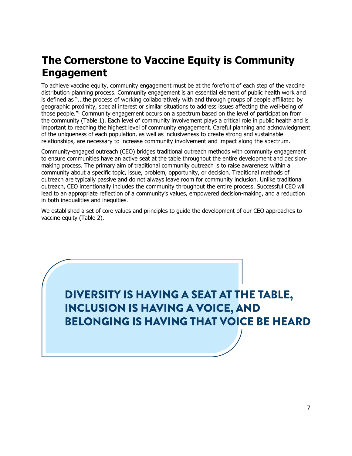## <span id="page-6-0"></span>**The Cornerstone to Vaccine Equity is Community Engagement**

To achieve vaccine equity, community engagement must be at the forefront of each step of the vaccine distribution planning process. Community engagement is an essential element of public health work and is defined as "...the process of working collaboratively with and through groups of people affiliated by geographic proximity, special interest or similar situations to address issues affecting the well-being of those people."<sup>1</sup> Community engagement occurs on a spectrum based on the level of participation from the community (Table 1). Each level of community involvement plays a critical role in public health and is important to reaching the highest level of community engagement. Careful planning and acknowledgment of the uniqueness of each population, as well as inclusiveness to create strong and sustainable relationships, are necessary to increase community involvement and impact along the spectrum.

Community-engaged outreach (CEO) bridges traditional outreach methods with community engagement to ensure communities have an active seat at the table throughout the entire development and decisionmaking process. The primary aim of traditional community outreach is to raise awareness within a community about a specific topic, issue, problem, opportunity, or decision. Traditional methods of outreach are typically passive and do not always leave room for community inclusion. Unlike traditional outreach, CEO intentionally includes the community throughout the entire process. Successful CEO will lead to an appropriate reflection of a community's values, empowered decision-making, and a reduction in both inequalities and inequities.

We established a set of core values and principles to guide the development of our CEO approaches to vaccine equity (Table 2).

# DIVERSITY IS HAVING A SEAT AT THE TABLE, **INCLUSION IS HAVING A VOICE, AND BELONGING IS HAVING THAT VOICE BE HEARD**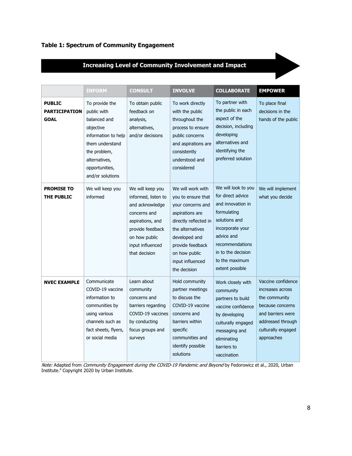#### **Table 1: Spectrum of Community Engagement**

### **Increasing Level of Community Involvement and Impact**

|                                               | <b>INFORM</b>                                                                                                                                                                                                                                                                              | <b>CONSULT</b>                                                                                                                                                           | <b>INVOLVE</b>                                                                                                                                                                                                         | <b>COLLABORATE</b>                                                                                                                                                                                            | <b>EMPOWER</b>                                                                                                                                            |
|-----------------------------------------------|--------------------------------------------------------------------------------------------------------------------------------------------------------------------------------------------------------------------------------------------------------------------------------------------|--------------------------------------------------------------------------------------------------------------------------------------------------------------------------|------------------------------------------------------------------------------------------------------------------------------------------------------------------------------------------------------------------------|---------------------------------------------------------------------------------------------------------------------------------------------------------------------------------------------------------------|-----------------------------------------------------------------------------------------------------------------------------------------------------------|
| <b>PUBLIC</b><br><b>PARTICIPATION</b><br>GOAL | To provide the<br>public with<br>balanced and<br>objective<br>information to help<br>them understand<br>the problem,<br>alternatives,<br>opportunities,<br>and/or solutions                                                                                                                | To obtain public<br>feedback on<br>analysis,<br>alternatives,<br>and/or decisions                                                                                        | To work directly<br>with the public<br>throughout the<br>process to ensure<br>public concerns<br>and aspirations are<br>consistently<br>understood and<br>considered                                                   | To partner with<br>the public in each<br>aspect of the<br>decision, including<br>developing<br>alternatives and<br>identifying the<br>preferred solution                                                      | To place final<br>decisions in the<br>hands of the public                                                                                                 |
| <b>PROMISE TO</b><br><b>THE PUBLIC</b>        | We will keep you<br>informed                                                                                                                                                                                                                                                               | We will keep you<br>informed, listen to<br>and acknowledge<br>concerns and<br>aspirations, and<br>provide feedback<br>on how public<br>input influenced<br>that decision | We will work with<br>you to ensure that<br>your concerns and<br>aspirations are<br>directly reflected in<br>the alternatives<br>developed and<br>provide feedback<br>on how public<br>input influenced<br>the decision | We will look to you<br>for direct advice<br>and innovation in<br>formulating<br>solutions and<br>incorporate your<br>advice and<br>recommendations<br>in to the decision<br>to the maximum<br>extent possible | We will implement<br>what you decide                                                                                                                      |
| <b>NVEC EXAMPLE</b>                           | Learn about<br>Communicate<br>COVID-19 vaccine<br>community<br>information to<br>concerns and<br>communities by<br>barriers regarding<br>using various<br>COVID-19 vaccines<br>channels such as<br>by conducting<br>fact sheets, flyers,<br>focus groups and<br>or social media<br>surveys |                                                                                                                                                                          | Hold community<br>partner meetings<br>to discuss the<br>COVID-19 vaccine<br>concerns and<br>barriers within<br>specific<br>communities and<br>identify possible<br>solutions                                           | Work closely with<br>community<br>partners to build<br>vaccine confidence<br>by developing<br>culturally engaged<br>messaging and<br>eliminating<br>barriers to<br>vaccination                                | Vaccine confidence<br>increases across<br>the community<br>because concerns<br>and barriers were<br>addressed through<br>culturally engaged<br>approaches |

*Note:* Adapted from *Community Engagement during the COVID-19 Pandemic and Beyond* by Fedorowicz et al., 2020, Urban Institute.4 Copyright 2020 by Urban Institute.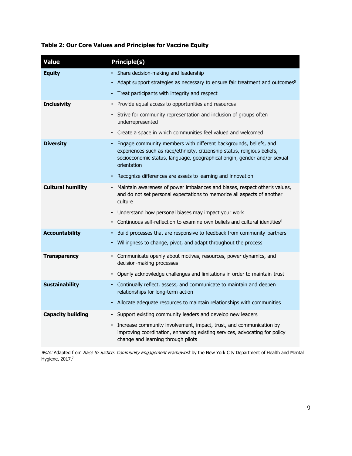#### **Table 2: Our Core Values and Principles for Vaccine Equity**

| <b>Value</b>             | <b>Principle(s)</b>                                                                                                                                                                                                                                      |
|--------------------------|----------------------------------------------------------------------------------------------------------------------------------------------------------------------------------------------------------------------------------------------------------|
| <b>Equity</b>            | • Share decision-making and leadership                                                                                                                                                                                                                   |
|                          | Adapt support strategies as necessary to ensure fair treatment and outcomes <sup>5</sup><br>$\bullet$                                                                                                                                                    |
|                          | Treat participants with integrity and respect<br>$\bullet$                                                                                                                                                                                               |
| <b>Inclusivity</b>       | Provide equal access to opportunities and resources<br>$\bullet$                                                                                                                                                                                         |
|                          | Strive for community representation and inclusion of groups often<br>$\bullet$<br>underrepresented                                                                                                                                                       |
|                          | Create a space in which communities feel valued and welcomed<br>$\bullet$                                                                                                                                                                                |
| <b>Diversity</b>         | Engage community members with different backgrounds, beliefs, and<br>$\bullet$<br>experiences such as race/ethnicity, citizenship status, religious beliefs,<br>socioeconomic status, language, geographical origin, gender and/or sexual<br>orientation |
|                          | Recognize differences are assets to learning and innovation<br>$\bullet$                                                                                                                                                                                 |
| <b>Cultural humility</b> | • Maintain awareness of power imbalances and biases, respect other's values,<br>and do not set personal expectations to memorize all aspects of another<br>culture                                                                                       |
|                          | Understand how personal biases may impact your work<br>$\bullet$                                                                                                                                                                                         |
|                          | Continuous self-reflection to examine own beliefs and cultural identities <sup>6</sup><br>$\bullet$                                                                                                                                                      |
| <b>Accountability</b>    | Build processes that are responsive to feedback from community partners<br>$\bullet$                                                                                                                                                                     |
|                          | Willingness to change, pivot, and adapt throughout the process<br>$\bullet$                                                                                                                                                                              |
| <b>Transparency</b>      | • Communicate openly about motives, resources, power dynamics, and<br>decision-making processes                                                                                                                                                          |
|                          | Openly acknowledge challenges and limitations in order to maintain trust<br>$\bullet$                                                                                                                                                                    |
| <b>Sustainability</b>    | • Continually reflect, assess, and communicate to maintain and deepen<br>relationships for long-term action                                                                                                                                              |
|                          | Allocate adequate resources to maintain relationships with communities<br>$\bullet$                                                                                                                                                                      |
| <b>Capacity building</b> | Support existing community leaders and develop new leaders<br>$\bullet$                                                                                                                                                                                  |
|                          | Increase community involvement, impact, trust, and communication by<br>$\bullet$<br>improving coordination, enhancing existing services, advocating for policy<br>change and learning through pilots                                                     |

*Note:* Adapted from *Race to Justice: Community Engagement Framework* by the New York City Department of Health and Mental Hygiene, 2017. 7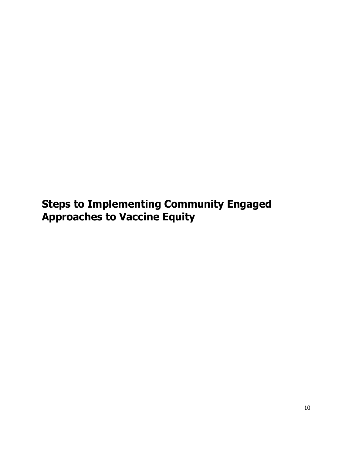<span id="page-9-0"></span>**Steps to Implementing Community Engaged Approaches to Vaccine Equity**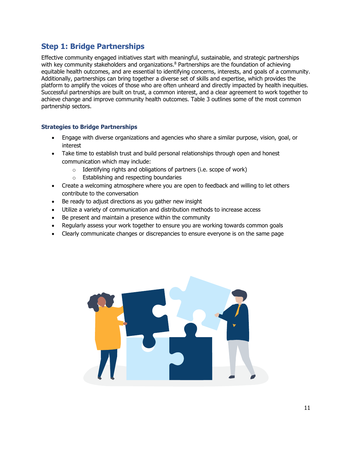### <span id="page-10-0"></span>**Step 1: Bridge Partnerships**

Effective community engaged initiatives start with meaningful, sustainable, and strategic partnerships with key community stakeholders and organizations.<sup>8</sup> Partnerships are the foundation of achieving equitable health outcomes, and are essential to identifying concerns, interests, and goals of a community. Additionally, partnerships can bring together a diverse set of skills and expertise, which provides the platform to amplify the voices of those who are often unheard and directly impacted by health inequities. Successful partnerships are built on trust, a common interest, and a clear agreement to work together to achieve change and improve community health outcomes. Table 3 outlines some of the most common partnership sectors.

#### <span id="page-10-1"></span>**Strategies to Bridge Partnerships**

- Engage with diverse organizations and agencies who share a similar purpose, vision, goal, or interest
- Take time to establish trust and build personal relationships through open and honest communication which may include:
	- $\circ$  Identifying rights and obligations of partners (i.e. scope of work)
		- o Establishing and respecting boundaries
- Create a welcoming atmosphere where you are open to feedback and willing to let others contribute to the conversation
- Be ready to adjust directions as you gather new insight
- Utilize a variety of communication and distribution methods to increase access
- Be present and maintain a presence within the community
- Regularly assess your work together to ensure you are working towards common goals
- Clearly communicate changes or discrepancies to ensure everyone is on the same page

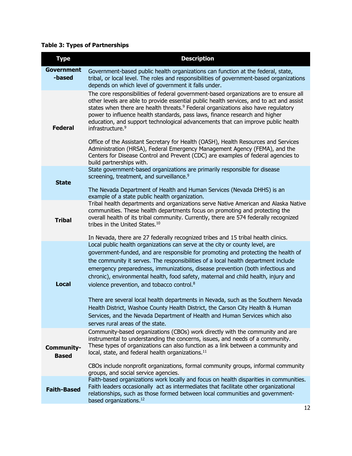### **Table 3: Types of Partnerships**

| <b>Type</b>                 | <b>Description</b>                                                                                                                                                                                                                                                                                                                                                                                                                                                                                                                                                                                                                                                                                                                                    |
|-----------------------------|-------------------------------------------------------------------------------------------------------------------------------------------------------------------------------------------------------------------------------------------------------------------------------------------------------------------------------------------------------------------------------------------------------------------------------------------------------------------------------------------------------------------------------------------------------------------------------------------------------------------------------------------------------------------------------------------------------------------------------------------------------|
| <b>Government</b><br>-based | Government-based public health organizations can function at the federal, state,<br>tribal, or local level. The roles and responsibilities of government-based organizations<br>depends on which level of government it falls under.                                                                                                                                                                                                                                                                                                                                                                                                                                                                                                                  |
| <b>Federal</b>              | The core responsibilities of federal government-based organizations are to ensure all<br>other levels are able to provide essential public health services, and to act and assist<br>states when there are health threats. <sup>9</sup> Federal organizations also have regulatory<br>power to influence health standards, pass laws, finance research and higher<br>education, and support technological advancements that can improve public health<br>infrastructure. <sup>9</sup><br>Office of the Assistant Secretary for Health (OASH), Health Resources and Services<br>Administration (HRSA), Federal Emergency Management Agency (FEMA), and the                                                                                             |
|                             | Centers for Disease Control and Prevent (CDC) are examples of federal agencies to<br>build partnerships with.                                                                                                                                                                                                                                                                                                                                                                                                                                                                                                                                                                                                                                         |
|                             | State government-based organizations are primarily responsible for disease<br>screening, treatment, and surveillance. <sup>9</sup>                                                                                                                                                                                                                                                                                                                                                                                                                                                                                                                                                                                                                    |
| <b>State</b>                | The Nevada Department of Health and Human Services (Nevada DHHS) is an<br>example of a state public health organization.                                                                                                                                                                                                                                                                                                                                                                                                                                                                                                                                                                                                                              |
| <b>Tribal</b>               | Tribal health departments and organizations serve Native American and Alaska Native<br>communities. These health departments focus on promoting and protecting the<br>overall health of its tribal community. Currently, there are 574 federally recognized<br>tribes in the United States. <sup>10</sup>                                                                                                                                                                                                                                                                                                                                                                                                                                             |
| <b>Local</b>                | In Nevada, there are 27 federally recognized tribes and 15 tribal health clinics.<br>Local public health organizations can serve at the city or county level, are<br>government-funded, and are responsible for promoting and protecting the health of<br>the community it serves. The responsibilities of a local health department include<br>emergency preparedness, immunizations, disease prevention (both infectious and<br>chronic), environmental health, food safety, maternal and child health, injury and<br>violence prevention, and tobacco control. <sup>8</sup><br>There are several local health departments in Nevada, such as the Southern Nevada<br>Health District, Washoe County Health District, the Carson City Health & Human |
|                             | Services, and the Nevada Department of Health and Human Services which also<br>serves rural areas of the state.                                                                                                                                                                                                                                                                                                                                                                                                                                                                                                                                                                                                                                       |
| Community-<br><b>Based</b>  | Community-based organizations (CBOs) work directly with the community and are<br>instrumental to understanding the concerns, issues, and needs of a community.<br>These types of organizations can also function as a link between a community and<br>local, state, and federal health organizations. <sup>11</sup><br>CBOs include nonprofit organizations, formal community groups, informal community                                                                                                                                                                                                                                                                                                                                              |
|                             | groups, and social service agencies.                                                                                                                                                                                                                                                                                                                                                                                                                                                                                                                                                                                                                                                                                                                  |
| <b>Faith-Based</b>          | Faith-based organizations work locally and focus on health disparities in communities.<br>Faith leaders occasionally act as intermediates that facilitate other organizational<br>relationships, such as those formed between local communities and government-<br>based organizations. <sup>12</sup>                                                                                                                                                                                                                                                                                                                                                                                                                                                 |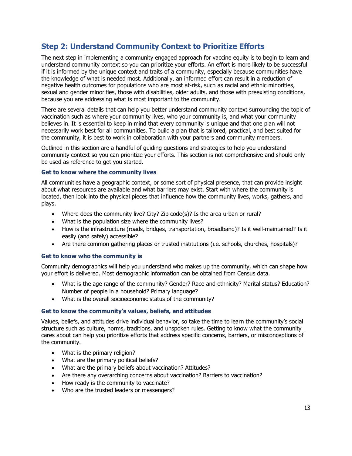### <span id="page-12-0"></span>**Step 2: Understand Community Context to Prioritize Efforts**

The next step in implementing a community engaged approach for vaccine equity is to begin to learn and understand community context so you can prioritize your efforts. An effort is more likely to be successful if it is informed by the unique context and traits of a community, especially because communities have the knowledge of what is needed most. Additionally, an informed effort can result in a reduction of negative health outcomes for populations who are most at-risk, such as racial and ethnic minorities, sexual and gender minorities, those with disabilities, older adults, and those with preexisting conditions, because you are addressing what is most important to the community.

There are several details that can help you better understand community context surrounding the topic of vaccination such as where your community lives, who your community is, and what your community believes in. It is essential to keep in mind that every community is unique and that one plan will not necessarily work best for all communities. To build a plan that is tailored, practical, and best suited for the community, it is best to work in collaboration with your partners and community members.

Outlined in this section are a handful of guiding questions and strategies to help you understand community context so you can prioritize your efforts. This section is not comprehensive and should only be used as reference to get you started.

#### <span id="page-12-1"></span>**Get to know where the community lives**

All communities have a geographic context, or some sort of physical presence, that can provide insight about what resources are available and what barriers may exist. Start with where the community is located, then look into the physical pieces that influence how the community lives, works, gathers, and plays.

- Where does the community live? City? Zip code(s)? Is the area urban or rural?
- What is the population size where the community lives?
- How is the infrastructure (roads, bridges, transportation, broadband)? Is it well-maintained? Is it easily (and safely) accessible?
- Are there common gathering places or trusted institutions (i.e. schools, churches, hospitals)?

#### <span id="page-12-2"></span>**Get to know who the community is**

Community demographics will help you understand who makes up the community, which can shape how your effort is delivered. Most demographic information can be obtained from Census data.

- What is the age range of the community? Gender? Race and ethnicity? Marital status? Education? Number of people in a household? Primary language?
- What is the overall socioeconomic status of the community?

#### <span id="page-12-3"></span>**Get to know the community's values, beliefs, and attitudes**

Values, beliefs, and attitudes drive individual behavior, so take the time to learn the community's social structure such as culture, norms, traditions, and unspoken rules. Getting to know what the community cares about can help you prioritize efforts that address specific concerns, barriers, or misconceptions of the community.

- What is the primary religion?
- What are the primary political beliefs?
- What are the primary beliefs about vaccination? Attitudes?
- Are there any overarching concerns about vaccination? Barriers to vaccination?
- How ready is the community to vaccinate?
- Who are the trusted leaders or messengers?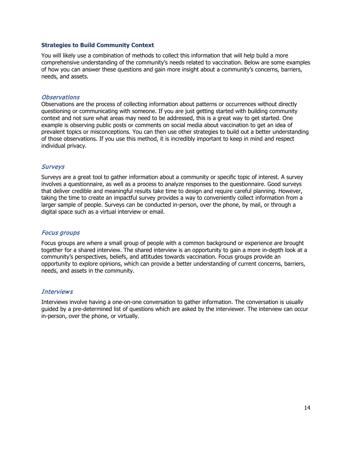#### <span id="page-13-0"></span>**Strategies to Build Community Context**

You will likely use a combination of methods to collect this information that will help build a more comprehensive understanding of the community's needs related to vaccination. Below are some examples of how you can answer these questions and gain more insight about a community's concerns, barriers, needs, and assets.

#### **Observations**

Observations are the process of collecting information about patterns or occurrences without directly questioning or communicating with someone. If you are just getting started with building community context and not sure what areas may need to be addressed, this is a great way to get started. One example is observing public posts or comments on social media about vaccination to get an idea of prevalent topics or misconceptions. You can then use other strategies to build out a better understanding of those observations. If you use this method, it is incredibly important to keep in mind and respect individual privacy.

#### **Surveys**

Surveys are a great tool to gather information about a community or specific topic of interest. A survey involves a questionnaire, as well as a process to analyze responses to the questionnaire. Good surveys that deliver credible and meaningful results take time to design and require careful planning. However, taking the time to create an impactful survey provides a way to conveniently collect information from a larger sample of people. Surveys can be conducted in-person, over the phone, by mail, or through a digital space such as a virtual interview or email.

#### Focus groups

Focus groups are where a small group of people with a common background or experience are brought together for a shared interview. The shared interview is an opportunity to gain a more in-depth look at a community's perspectives, beliefs, and attitudes towards vaccination. Focus groups provide an opportunity to explore opinions, which can provide a better understanding of current concerns, barriers, needs, and assets in the community.

#### **Interviews**

Interviews involve having a one-on-one conversation to gather information. The conversation is usually guided by a pre-determined list of questions which are asked by the interviewer. The interview can occur in-person, over the phone, or virtually.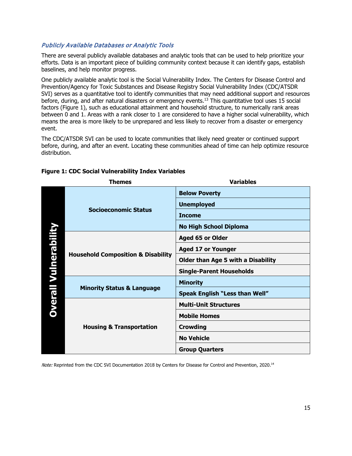#### Publicly Available Databases or Analytic Tools

There are several publicly available databases and analytic tools that can be used to help prioritize your efforts. Data is an important piece of building community context because it can identify gaps, establish baselines, and help monitor progress.

One publicly available analytic tool is the Social Vulnerability Index. The Centers for Disease Control and Prevention/Agency for Toxic Substances and Disease Registry Social Vulnerability Index (CDC/ATSDR SVI) serves as a quantitative tool to identify communities that may need additional support and resources before, during, and after natural disasters or emergency events. <sup>13</sup> This quantitative tool uses 15 social factors (Figure 1), such as educational attainment and household structure, to numerically rank areas between 0 and 1. Areas with a rank closer to 1 are considered to have a higher social vulnerability, which means the area is more likely to be unprepared and less likely to recover from a disaster or emergency event.

The CDC/ATSDR SVI can be used to locate communities that likely need greater or continued support before, during, and after an event. Locating these communities ahead of time can help optimize resource distribution.

| <b>Themes</b> |                                                         | <b>Variables</b>                      |  |
|---------------|---------------------------------------------------------|---------------------------------------|--|
|               |                                                         | <b>Below Poverty</b>                  |  |
|               | <b>Socioeconomic Status</b>                             | <b>Unemployed</b>                     |  |
|               |                                                         | <b>Income</b>                         |  |
|               |                                                         | <b>No High School Diploma</b>         |  |
|               |                                                         | <b>Aged 65 or Older</b>               |  |
| Vulnerabi     |                                                         | <b>Aged 17 or Younger</b>             |  |
|               | <b>Household Composition &amp; Disability</b>           | Older than Age 5 with a Disability    |  |
|               |                                                         | <b>Single-Parent Households</b>       |  |
|               | <b>Dverall</b><br><b>Minority Status &amp; Language</b> | <b>Minority</b>                       |  |
|               |                                                         | <b>Speak English "Less than Well"</b> |  |
|               |                                                         | <b>Multi-Unit Structures</b>          |  |
|               | <b>Housing &amp; Transportation</b>                     | <b>Mobile Homes</b>                   |  |
|               |                                                         | <b>Crowding</b>                       |  |
|               |                                                         | <b>No Vehicle</b>                     |  |
|               |                                                         | <b>Group Quarters</b>                 |  |

#### **Figure 1: CDC Social Vulnerability Index Variables**

Note: Reprinted from the CDC SVI Documentation 2018 by Centers for Disease for Control and Prevention, 2020.<sup>14</sup>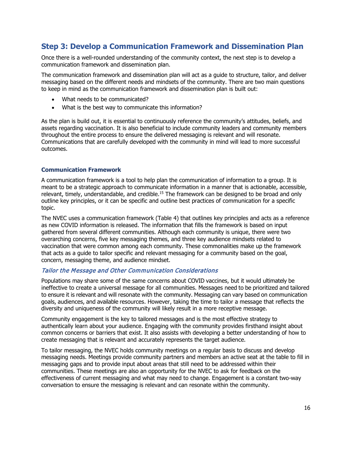### <span id="page-15-0"></span>**Step 3: Develop a Communication Framework and Dissemination Plan**

Once there is a well-rounded understanding of the community context, the next step is to develop a communication framework and dissemination plan.

The communication framework and dissemination plan will act as a guide to structure, tailor, and deliver messaging based on the different needs and mindsets of the community. There are two main questions to keep in mind as the communication framework and dissemination plan is built out:

- What needs to be communicated?
- What is the best way to communicate this information?

As the plan is build out, it is essential to continuously reference the community's attitudes, beliefs, and assets regarding vaccination. It is also beneficial to include community leaders and community members throughout the entire process to ensure the delivered messaging is relevant and will resonate. Communications that are carefully developed with the community in mind will lead to more successful outcomes.

#### <span id="page-15-1"></span>**Communication Framework**

A communication framework is a tool to help plan the communication of information to a group. It is meant to be a strategic approach to communicate information in a manner that is actionable, accessible, relevant, timely, understandable, and credible.<sup>15</sup> The framework can be designed to be broad and only outline key principles, or it can be specific and outline best practices of communication for a specific topic.

The NVEC uses a communication framework (Table 4) that outlines key principles and acts as a reference as new COVID information is released. The information that fills the framework is based on input gathered from several different communities. Although each community is unique, there were two overarching concerns, five key messaging themes, and three key audience mindsets related to vaccination that were common among each community. These commonalities make up the framework that acts as a guide to tailor specific and relevant messaging for a community based on the goal, concern, messaging theme, and audience mindset.

#### Tailor the Message and Other Communication Considerations

Populations may share some of the same concerns about COVID vaccines, but it would ultimately be ineffective to create a universal message for all communities. Messages need to be prioritized and tailored to ensure it is relevant and will resonate with the community. Messaging can vary based on communication goals, audiences, and available resources. However, taking the time to tailor a message that reflects the diversity and uniqueness of the community will likely result in a more receptive message.

Community engagement is the key to tailored messages and is the most effective strategy to authentically learn about your audience. Engaging with the community provides firsthand insight about common concerns or barriers that exist. It also assists with developing a better understanding of how to create messaging that is relevant and accurately represents the target audience.

To tailor messaging, the NVEC holds community meetings on a regular basis to discuss and develop messaging needs. Meetings provide community partners and members an active seat at the table to fill in messaging gaps and to provide input about areas that still need to be addressed within their communities. These meetings are also an opportunity for the NVEC to ask for feedback on the effectiveness of current messaging and what may need to change. Engagement is a constant two-way conversation to ensure the messaging is relevant and can resonate within the community.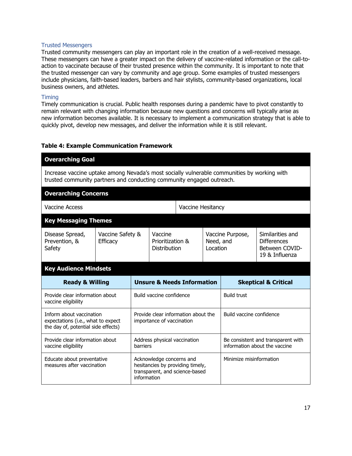#### Trusted Messengers

Trusted community messengers can play an important role in the creation of a well-received message. These messengers can have a greater impact on the delivery of vaccine-related information or the call-toaction to vaccinate because of their trusted presence within the community. It is important to note that the trusted messenger can vary by community and age group. Some examples of trusted messengers include physicians, faith-based leaders, barbers and hair stylists, community-based organizations, local business owners, and athletes.

#### Timing

Timely communication is crucial. Public health responses during a pandemic have to pivot constantly to remain relevant with changing information because new questions and concerns will typically arise as new information becomes available. It is necessary to implement a communication strategy that is able to quickly pivot, develop new messages, and deliver the information while it is still relevant.

#### **Table 4: Example Communication Framework**

| <b>Overarching Goal</b>                                                                                                                                                   |                 |                                                                  |                          |                                             |                                                                     |                                           |                                                                            |
|---------------------------------------------------------------------------------------------------------------------------------------------------------------------------|-----------------|------------------------------------------------------------------|--------------------------|---------------------------------------------|---------------------------------------------------------------------|-------------------------------------------|----------------------------------------------------------------------------|
| Increase vaccine uptake among Nevada's most socially vulnerable communities by working with<br>trusted community partners and conducting community engaged outreach.      |                 |                                                                  |                          |                                             |                                                                     |                                           |                                                                            |
| <b>Overarching Concerns</b>                                                                                                                                               |                 |                                                                  |                          |                                             |                                                                     |                                           |                                                                            |
| <b>Vaccine Access</b>                                                                                                                                                     |                 |                                                                  | <b>Vaccine Hesitancy</b> |                                             |                                                                     |                                           |                                                                            |
| <b>Key Messaging Themes</b>                                                                                                                                               |                 |                                                                  |                          |                                             |                                                                     |                                           |                                                                            |
| Disease Spread,<br>Prevention, &<br>Safety                                                                                                                                | <b>Efficacy</b> | Vaccine Safety &                                                 |                          | Vaccine<br>Prioritization &<br>Distribution |                                                                     | Vaccine Purpose,<br>Need, and<br>Location | Similarities and<br><b>Differences</b><br>Between COVID-<br>19 & Influenza |
| <b>Key Audience Mindsets</b>                                                                                                                                              |                 |                                                                  |                          |                                             |                                                                     |                                           |                                                                            |
| <b>Unsure &amp; Needs Information</b><br><b>Ready &amp; Willing</b>                                                                                                       |                 |                                                                  |                          |                                             |                                                                     | <b>Skeptical &amp; Critical</b>           |                                                                            |
| Provide clear information about<br>vaccine eligibility                                                                                                                    |                 | Build vaccine confidence                                         |                          | <b>Build trust</b>                          |                                                                     |                                           |                                                                            |
| Inform about vaccination<br>expectations (i.e., what to expect<br>the day of, potential side effects)                                                                     |                 | Provide clear information about the<br>importance of vaccination |                          |                                             |                                                                     | Build vaccine confidence                  |                                                                            |
| Provide clear information about<br>Address physical vaccination<br>barriers<br>vaccine eligibility                                                                        |                 |                                                                  |                          |                                             | Be consistent and transparent with<br>information about the vaccine |                                           |                                                                            |
| Acknowledge concerns and<br>Educate about preventative<br>measures after vaccination<br>hesitancies by providing timely,<br>transparent, and science-based<br>information |                 |                                                                  |                          | Minimize misinformation                     |                                                                     |                                           |                                                                            |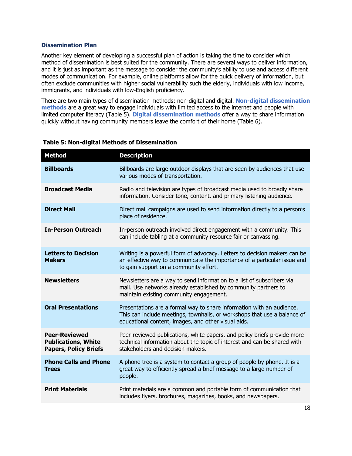#### <span id="page-17-0"></span>**Dissemination Plan**

Another key element of developing a successful plan of action is taking the time to consider which method of dissemination is best suited for the community. There are several ways to deliver information, and it is just as important as the message to consider the community's ability to use and access different modes of communication. For example, online platforms allow for the quick delivery of information, but often exclude communities with higher social vulnerability such the elderly, individuals with low income, immigrants, and individuals with low-English proficiency.

There are two main types of dissemination methods: non-digital and digital. **Non-digital dissemination methods** are a great way to engage individuals with limited access to the internet and people with limited computer literacy (Table 5). **Digital dissemination methods** offer a way to share information quickly without having community members leave the comfort of their home (Table 6).

| <b>Method</b>                                                                      | <b>Description</b>                                                                                                                                                                                       |
|------------------------------------------------------------------------------------|----------------------------------------------------------------------------------------------------------------------------------------------------------------------------------------------------------|
| <b>Billboards</b>                                                                  | Billboards are large outdoor displays that are seen by audiences that use<br>various modes of transportation.                                                                                            |
| <b>Broadcast Media</b>                                                             | Radio and television are types of broadcast media used to broadly share<br>information. Consider tone, content, and primary listening audience.                                                          |
| <b>Direct Mail</b>                                                                 | Direct mail campaigns are used to send information directly to a person's<br>place of residence.                                                                                                         |
| <b>In-Person Outreach</b>                                                          | In-person outreach involved direct engagement with a community. This<br>can include tabling at a community resource fair or canvassing.                                                                  |
| <b>Letters to Decision</b><br><b>Makers</b>                                        | Writing is a powerful form of advocacy. Letters to decision makers can be<br>an effective way to communicate the importance of a particular issue and<br>to gain support on a community effort.          |
| <b>Newsletters</b>                                                                 | Newsletters are a way to send information to a list of subscribers via<br>mail. Use networks already established by community partners to<br>maintain existing community engagement.                     |
| <b>Oral Presentations</b>                                                          | Presentations are a formal way to share information with an audience.<br>This can include meetings, townhalls, or workshops that use a balance of<br>educational content, images, and other visual aids. |
| <b>Peer-Reviewed</b><br><b>Publications, White</b><br><b>Papers, Policy Briefs</b> | Peer-reviewed publications, white papers, and policy briefs provide more<br>technical information about the topic of interest and can be shared with<br>stakeholders and decision makers.                |
| <b>Phone Calls and Phone</b><br><b>Trees</b>                                       | A phone tree is a system to contact a group of people by phone. It is a<br>great way to efficiently spread a brief message to a large number of<br>people.                                               |
| <b>Print Materials</b>                                                             | Print materials are a common and portable form of communication that<br>includes flyers, brochures, magazines, books, and newspapers.                                                                    |

#### **Table 5: Non-digital Methods of Dissemination**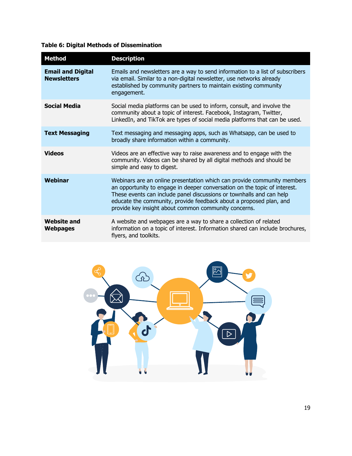### **Table 6: Digital Methods of Dissemination**

| <b>Method</b>                                  | <b>Description</b>                                                                                                                                                                                                                                                                                                                                         |
|------------------------------------------------|------------------------------------------------------------------------------------------------------------------------------------------------------------------------------------------------------------------------------------------------------------------------------------------------------------------------------------------------------------|
| <b>Email and Digital</b><br><b>Newsletters</b> | Emails and newsletters are a way to send information to a list of subscribers<br>via email. Similar to a non-digital newsletter, use networks already<br>established by community partners to maintain existing community<br>engagement.                                                                                                                   |
| <b>Social Media</b>                            | Social media platforms can be used to inform, consult, and involve the<br>community about a topic of interest. Facebook, Instagram, Twitter,<br>LinkedIn, and TikTok are types of social media platforms that can be used.                                                                                                                                 |
| <b>Text Messaging</b>                          | Text messaging and messaging apps, such as Whatsapp, can be used to<br>broadly share information within a community.                                                                                                                                                                                                                                       |
| <b>Videos</b>                                  | Videos are an effective way to raise awareness and to engage with the<br>community. Videos can be shared by all digital methods and should be<br>simple and easy to digest.                                                                                                                                                                                |
| <b>Webinar</b>                                 | Webinars are an online presentation which can provide community members<br>an opportunity to engage in deeper conversation on the topic of interest.<br>These events can include panel discussions or townhalls and can help<br>educate the community, provide feedback about a proposed plan, and<br>provide key insight about common community concerns. |
| <b>Website and</b><br><b>Webpages</b>          | A website and webpages are a way to share a collection of related<br>information on a topic of interest. Information shared can include brochures,<br>flyers, and toolkits.                                                                                                                                                                                |

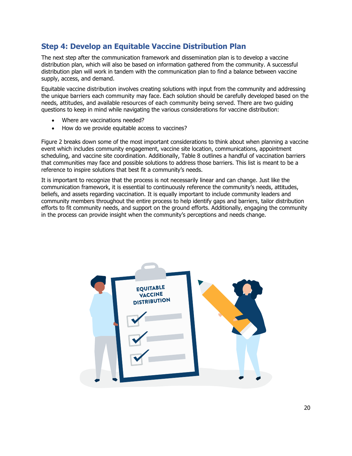### <span id="page-19-0"></span>**Step 4: Develop an Equitable Vaccine Distribution Plan**

The next step after the communication framework and dissemination plan is to develop a vaccine distribution plan, which will also be based on information gathered from the community. A successful distribution plan will work in tandem with the communication plan to find a balance between vaccine supply, access, and demand.

Equitable vaccine distribution involves creating solutions with input from the community and addressing the unique barriers each community may face. Each solution should be carefully developed based on the needs, attitudes, and available resources of each community being served. There are two guiding questions to keep in mind while navigating the various considerations for vaccine distribution:

- Where are vaccinations needed?
- How do we provide equitable access to vaccines?

Figure 2 breaks down some of the most important considerations to think about when planning a vaccine event which includes community engagement, vaccine site location, communications, appointment scheduling, and vaccine site coordination. Additionally, Table 8 outlines a handful of vaccination barriers that communities may face and possible solutions to address those barriers. This list is meant to be a reference to inspire solutions that best fit a community's needs.

It is important to recognize that the process is not necessarily linear and can change. Just like the communication framework, it is essential to continuously reference the community's needs, attitudes, beliefs, and assets regarding vaccination. It is equally important to include community leaders and community members throughout the entire process to help identify gaps and barriers, tailor distribution efforts to fit community needs, and support on the ground efforts. Additionally, engaging the community in the process can provide insight when the community's perceptions and needs change.

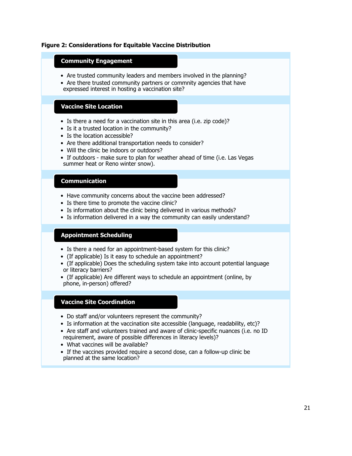#### **Figure 2: Considerations for Equitable Vaccine Distribution**

#### **Community Engagement**

- Are trusted community leaders and members involved in the planning?
- Are there trusted community partners or commnity agencies that have expressed interest in hosting a vaccination site?

#### **Vaccine Site Location**

- Is there a need for a vaccination site in this area (i.e. zip code)?
- Is it a trusted location in the community?
- Is the location accessible?
- Are there additional transportation needs to consider?
- Will the clinic be indoors or outdoors?
- If outdoors make sure to plan for weather ahead of time (i.e. Las Vegas summer heat or Reno winter snow).

#### **Communication**

- Have community concerns about the vaccine been addressed?
- Is there time to promote the vaccine clinic?
- Is information about the clinic being delivered in various methods?
- Is information delivered in a way the community can easily understand?

#### **Appointment Scheduling**

- Is there a need for an appointment-based system for this clinic?
- (If applicable) Is it easy to schedule an appointment?
- (If applicable) Does the scheduling system take into account potential language or literacy barriers?

• (If applicable) Are different ways to schedule an appointment (online, by phone, in-person) offered?

#### **Vaccine Site Coordination**

- Do staff and/or volunteers represent the community?
- Is information at the vaccination site accessible (language, readability, etc)?
- Are staff and volunteers trained and aware of clinic-specific nuances (i.e. no ID requirement, aware of possible differences in literacy levels)?
- What vaccines will be available?
- If the vaccines provided require a second dose, can a follow-up clinic be planned at the same location?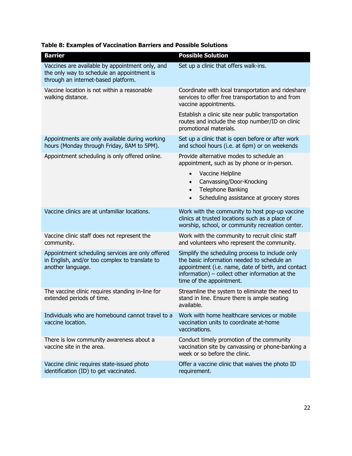| <b>Barrier</b>                                                                                                                       | <b>Possible Solution</b>                                                                                                                                                                                                            |
|--------------------------------------------------------------------------------------------------------------------------------------|-------------------------------------------------------------------------------------------------------------------------------------------------------------------------------------------------------------------------------------|
| Vaccines are available by appointment only, and<br>the only way to schedule an appointment is<br>through an internet-based platform. | Set up a clinic that offers walk-ins.                                                                                                                                                                                               |
| Vaccine location is not within a reasonable<br>walking distance.                                                                     | Coordinate with local transportation and rideshare<br>services to offer free transportation to and from<br>vaccine appointments.                                                                                                    |
|                                                                                                                                      | Establish a clinic site near public transportation<br>routes and include the stop number/ID on clinic<br>promotional materials.                                                                                                     |
| Appointments are only available during working<br>hours (Monday through Friday, 8AM to 5PM).                                         | Set up a clinic that is open before or after work<br>and school hours (i.e. at 6pm) or on weekends                                                                                                                                  |
| Appointment scheduling is only offered online.                                                                                       | Provide alternative modes to schedule an<br>appointment, such as by phone or in-person.                                                                                                                                             |
|                                                                                                                                      | Vaccine Helpline<br>$\bullet$<br>Canvassing/Door-Knocking<br>$\bullet$<br>Telephone Banking<br>$\bullet$<br>Scheduling assistance at grocery stores<br>$\bullet$                                                                    |
| Vaccine clinics are at unfamiliar locations.                                                                                         | Work with the community to host pop-up vaccine<br>clinics at trusted locations such as a place of<br>worship, school, or community recreation center.                                                                               |
| Vaccine clinic staff does not represent the<br>community.                                                                            | Work with the community to recruit clinic staff<br>and volunteers who represent the community.                                                                                                                                      |
| Appointment scheduling services are only offered<br>in English, and/or too complex to translate to<br>another language.              | Simplify the scheduling process to include only<br>the basic information needed to schedule an<br>appointment (i.e. name, date of birth, and contact<br>information) - collect other information at the<br>time of the appointment. |
| The vaccine clinic requires standing in-line for<br>extended periods of time.                                                        | Streamline the system to eliminate the need to<br>stand in line. Ensure there is ample seating<br>available.                                                                                                                        |
| Individuals who are homebound cannot travel to a<br>vaccine location.                                                                | Work with home healthcare services or mobile<br>vaccination units to coordinate at-home<br>vaccinations.                                                                                                                            |
| There is low community awareness about a<br>vaccine site in the area.                                                                | Conduct timely promotion of the community<br>vaccination site by canvassing or phone-banking a<br>week or so before the clinic.                                                                                                     |
| Vaccine clinic requires state-issued photo<br>identification (ID) to get vaccinated.                                                 | Offer a vaccine clinic that waives the photo ID<br>requirement.                                                                                                                                                                     |

#### **Table 8: Examples of Vaccination Barriers and Possible Solutions**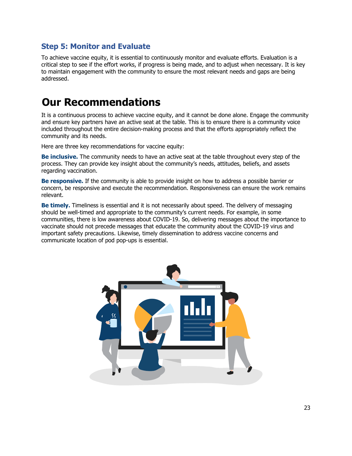### <span id="page-22-0"></span>**Step 5: Monitor and Evaluate**

To achieve vaccine equity, it is essential to continuously monitor and evaluate efforts. Evaluation is a critical step to see if the effort works, if progress is being made, and to adjust when necessary. It is key to maintain engagement with the community to ensure the most relevant needs and gaps are being addressed.

## <span id="page-22-1"></span>**Our Recommendations**

It is a continuous process to achieve vaccine equity, and it cannot be done alone. Engage the community and ensure key partners have an active seat at the table. This is to ensure there is a community voice included throughout the entire decision-making process and that the efforts appropriately reflect the community and its needs.

Here are three key recommendations for vaccine equity:

**Be inclusive.** The community needs to have an active seat at the table throughout every step of the process. They can provide key insight about the community's needs, attitudes, beliefs, and assets regarding vaccination.

**Be responsive.** If the community is able to provide insight on how to address a possible barrier or concern, be responsive and execute the recommendation. Responsiveness can ensure the work remains relevant.

**Be timely.** Timeliness is essential and it is not necessarily about speed. The delivery of messaging should be well-timed and appropriate to the community's current needs. For example, in some communities, there is low awareness about COVID-19. So, delivering messages about the importance to vaccinate should not precede messages that educate the community about the COVID-19 virus and important safety precautions. Likewise, timely dissemination to address vaccine concerns and communicate location of pod pop-ups is essential.